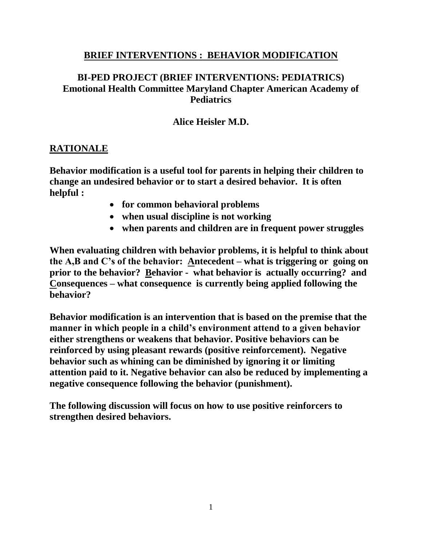### **BRIEF INTERVENTIONS : BEHAVIOR MODIFICATION**

# **BI-PED PROJECT (BRIEF INTERVENTIONS: PEDIATRICS) Emotional Health Committee Maryland Chapter American Academy of Pediatrics**

### **Alice Heisler M.D.**

#### **RATIONALE**

**Behavior modification is a useful tool for parents in helping their children to change an undesired behavior or to start a desired behavior. It is often helpful :** 

- **for common behavioral problems**
- **when usual discipline is not working**
- **when parents and children are in frequent power struggles**

**When evaluating children with behavior problems, it is helpful to think about the A,B and C's of the behavior: Antecedent – what is triggering or going on prior to the behavior? Behavior - what behavior is actually occurring? and Consequences – what consequence is currently being applied following the behavior?**

**Behavior modification is an intervention that is based on the premise that the manner in which people in a child's environment attend to a given behavior either strengthens or weakens that behavior. Positive behaviors can be reinforced by using pleasant rewards (positive reinforcement). Negative behavior such as whining can be diminished by ignoring it or limiting attention paid to it. Negative behavior can also be reduced by implementing a negative consequence following the behavior (punishment).**

**The following discussion will focus on how to use positive reinforcers to strengthen desired behaviors.**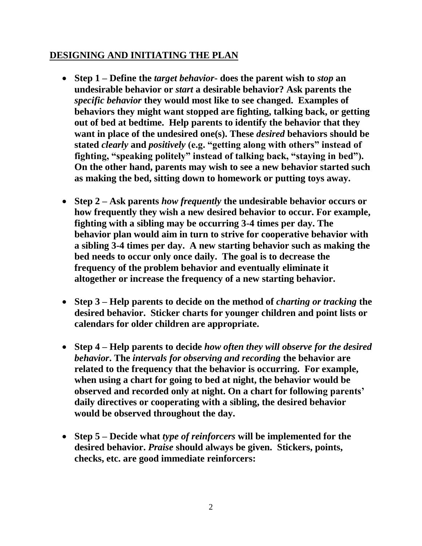### **DESIGNING AND INITIATING THE PLAN**

- **Step 1 – Define the** *target behavior***- does the parent wish to** *stop* **an undesirable behavior or** *start* **a desirable behavior? Ask parents the**  *specific behavior* **they would most like to see changed. Examples of behaviors they might want stopped are fighting, talking back, or getting out of bed at bedtime. Help parents to identify the behavior that they want in place of the undesired one(s). These** *desired* **behaviors should be stated** *clearly* **and** *positively* **(e.g. "getting along with others" instead of fighting, "speaking politely" instead of talking back, "staying in bed"). On the other hand, parents may wish to see a new behavior started such as making the bed, sitting down to homework or putting toys away.**
- **Step 2 – Ask parents** *how frequently* **the undesirable behavior occurs or how frequently they wish a new desired behavior to occur. For example, fighting with a sibling may be occurring 3-4 times per day. The behavior plan would aim in turn to strive for cooperative behavior with a sibling 3-4 times per day. A new starting behavior such as making the bed needs to occur only once daily. The goal is to decrease the frequency of the problem behavior and eventually eliminate it altogether or increase the frequency of a new starting behavior.**
- **Step 3 – Help parents to decide on the method of** *charting or tracking* **the desired behavior. Sticker charts for younger children and point lists or calendars for older children are appropriate.**
- **Step 4 – Help parents to decide** *how often they will observe for the desired behavior***. The** *intervals for observing and recording* **the behavior are related to the frequency that the behavior is occurring. For example, when using a chart for going to bed at night, the behavior would be observed and recorded only at night. On a chart for following parents' daily directives or cooperating with a sibling, the desired behavior would be observed throughout the day.**
- **Step 5 – Decide what** *type of reinforcers* **will be implemented for the desired behavior.** *Praise* **should always be given. Stickers, points, checks, etc. are good immediate reinforcers:**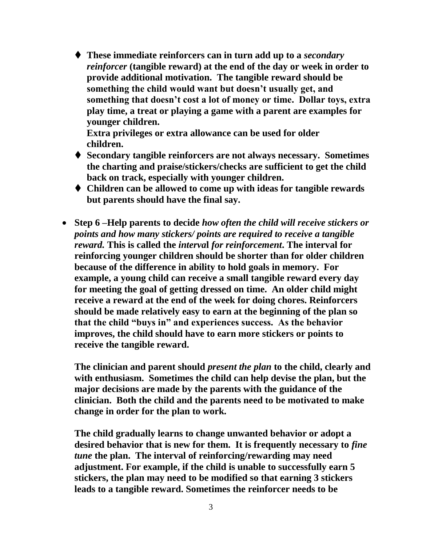**These immediate reinforcers can in turn add up to a** *secondary reinforcer* **(tangible reward) at the end of the day or week in order to provide additional motivation. The tangible reward should be something the child would want but doesn't usually get, and something that doesn't cost a lot of money or time. Dollar toys, extra play time, a treat or playing a game with a parent are examples for younger children.** 

**Extra privileges or extra allowance can be used for older children.**

- **Secondary tangible reinforcers are not always necessary. Sometimes the charting and praise/stickers/checks are sufficient to get the child back on track, especially with younger children.**
- **Children can be allowed to come up with ideas for tangible rewards but parents should have the final say.**
- **Step 6 –Help parents to decide** *how often the child will receive stickers or points and how many stickers/ points are required to receive a tangible reward.* **This is called the** *interva***l** *for reinforcement***. The interval for reinforcing younger children should be shorter than for older children because of the difference in ability to hold goals in memory. For example, a young child can receive a small tangible reward every day for meeting the goal of getting dressed on time. An older child might receive a reward at the end of the week for doing chores. Reinforcers should be made relatively easy to earn at the beginning of the plan so that the child "buys in" and experiences success. As the behavior improves, the child should have to earn more stickers or points to receive the tangible reward.**

**The clinician and parent should** *present the plan* **to the child, clearly and with enthusiasm. Sometimes the child can help devise the plan, but the major decisions are made by the parents with the guidance of the clinician. Both the child and the parents need to be motivated to make change in order for the plan to work.**

**The child gradually learns to change unwanted behavior or adopt a desired behavior that is new for them. It is frequently necessary to** *fine tune* **the plan. The interval of reinforcing/rewarding may need adjustment. For example, if the child is unable to successfully earn 5 stickers, the plan may need to be modified so that earning 3 stickers leads to a tangible reward. Sometimes the reinforcer needs to be**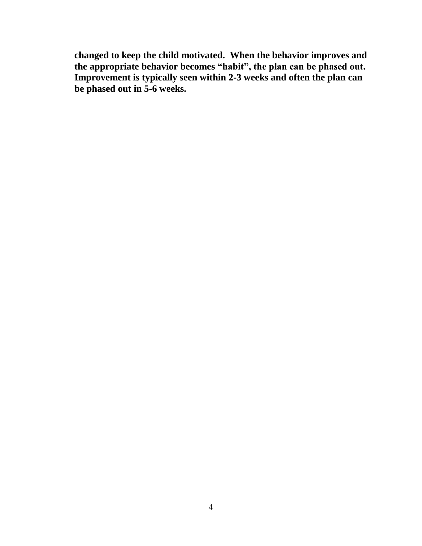**changed to keep the child motivated. When the behavior improves and the appropriate behavior becomes "habit", the plan can be phased out. Improvement is typically seen within 2-3 weeks and often the plan can be phased out in 5-6 weeks.**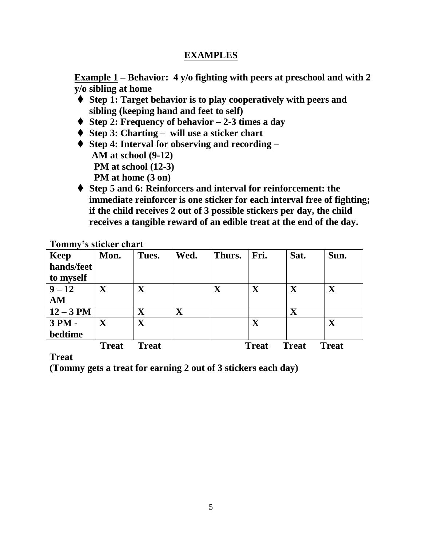## **EXAMPLES**

**Example 1 – Behavior: 4 y/o fighting with peers at preschool and with 2 y/o sibling at home**

- **Step 1: Target behavior is to play cooperatively with peers and sibling (keeping hand and feet to self)**
- **Step 2: Frequency of behavior – 2-3 times a day**
- ◆ Step 3: Charting will use a sticker chart
- ◆ Step 4: Interval for observing and recording **AM at school (9-12) PM at school (12-3) PM at home (3 on)**
- **Step 5 and 6: Reinforcers and interval for reinforcement: the immediate reinforcer is one sticker for each interval free of fighting; if the child receives 2 out of 3 possible stickers per day, the child receives a tangible reward of an edible treat at the end of the day.**

| T AITITILLA | 9 SUUNU UHALU           |              |             |             |                         |              |              |
|-------------|-------------------------|--------------|-------------|-------------|-------------------------|--------------|--------------|
| <b>Keep</b> | Mon.                    | Tues.        | Wed.        | Thurs.      | Fri.                    | Sat.         | Sun.         |
| hands/feet  |                         |              |             |             |                         |              |              |
| to myself   |                         |              |             |             |                         |              |              |
| $9 - 12$    | $\overline{\mathbf{X}}$ | $\mathbf X$  |             | $\mathbf X$ | $\overline{\mathbf{X}}$ | $\mathbf X$  | $\mathbf X$  |
| AM          |                         |              |             |             |                         |              |              |
| $12 - 3$ PM |                         | $\mathbf X$  | $\mathbf X$ |             |                         | $\mathbf X$  |              |
| 3 PM -      | $\mathbf X$             | $\mathbf X$  |             |             | $\mathbf X$             |              | $\mathbf X$  |
| bedtime     |                         |              |             |             |                         |              |              |
|             | <b>Treat</b>            | <b>Treat</b> |             |             | <b>Treat</b>            | <b>Treat</b> | <b>Treat</b> |

**Tommy's sticker chart**

**Treat**

**(Tommy gets a treat for earning 2 out of 3 stickers each day)**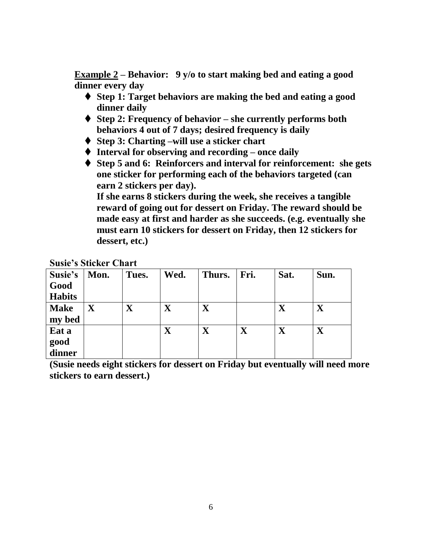**Example 2 – Behavior: 9 y/o to start making bed and eating a good dinner every day**

- **Step 1: Target behaviors are making the bed and eating a good dinner daily**
- **Step 2: Frequency of behavior – she currently performs both behaviors 4 out of 7 days; desired frequency is daily**
- ◆ Step 3: Charting –will use a sticker chart
- **Interval for observing and recording – once daily**
- **Step 5 and 6: Reinforcers and interval for reinforcement: she gets one sticker for performing each of the behaviors targeted (can earn 2 stickers per day).**

**If she earns 8 stickers during the week, she receives a tangible reward of going out for dessert on Friday. The reward should be made easy at first and harder as she succeeds. (e.g. eventually she must earn 10 stickers for dessert on Friday, then 12 stickers for dessert, etc.)** 

| Susie's       | Mon.                    | Tues.                   | Wed.        | Thurs.                  | Fri.        | Sat.        | Sun.                    |
|---------------|-------------------------|-------------------------|-------------|-------------------------|-------------|-------------|-------------------------|
| Good          |                         |                         |             |                         |             |             |                         |
| <b>Habits</b> |                         |                         |             |                         |             |             |                         |
| <b>Make</b>   | $\overline{\textbf{X}}$ | $\overline{\mathbf{X}}$ | X           | $\overline{\textbf{X}}$ |             | $\mathbf X$ | $\overline{\mathbf{X}}$ |
| my bed        |                         |                         |             |                         |             |             |                         |
| Eat a         |                         |                         | $\mathbf X$ |                         | $\mathbf X$ | $\mathbf X$ | $\mathbf X$             |
| good          |                         |                         |             |                         |             |             |                         |
| dinner        |                         |                         |             |                         |             |             |                         |

**(Susie needs eight stickers for dessert on Friday but eventually will need more stickers to earn dessert.)**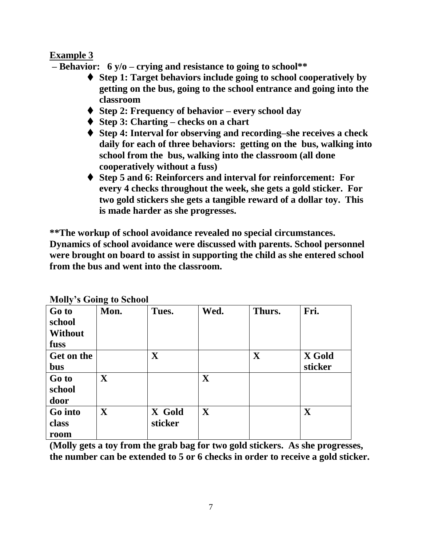## **Example 3**

**– Behavior: 6 y/o – crying and resistance to going to school\*\***

- **Step 1: Target behaviors include going to school cooperatively by getting on the bus, going to the school entrance and going into the classroom**
- **Step 2: Frequency of behavior – every school day**
- **Step 3: Charting – checks on a chart**
- **Step 4: Interval for observing and recording–she receives a check daily for each of three behaviors: getting on the bus, walking into school from the bus, walking into the classroom (all done cooperatively without a fuss)**
- **Step 5 and 6: Reinforcers and interval for reinforcement: For every 4 checks throughout the week, she gets a gold sticker. For two gold stickers she gets a tangible reward of a dollar toy. This is made harder as she progresses.**

**\*\*The workup of school avoidance revealed no special circumstances. Dynamics of school avoidance were discussed with parents. School personnel were brought on board to assist in supporting the child as she entered school from the bus and went into the classroom.**

|                | <b>NOTE S OUTLE to Defiver</b> |         |              |              |         |
|----------------|--------------------------------|---------|--------------|--------------|---------|
| Go to          | Mon.                           | Tues.   | Wed.         | Thurs.       | Fri.    |
| school         |                                |         |              |              |         |
| <b>Without</b> |                                |         |              |              |         |
| fuss           |                                |         |              |              |         |
| Get on the     |                                | X       |              | $\mathbf{X}$ | X Gold  |
| <b>bus</b>     |                                |         |              |              | sticker |
| Go to          | $\mathbf{X}$                   |         | $\mathbf{X}$ |              |         |
| school         |                                |         |              |              |         |
| door           |                                |         |              |              |         |
| Go into        | $\mathbf{X}$                   | X Gold  | $\mathbf{X}$ |              | X       |
| class          |                                | sticker |              |              |         |
| room           |                                |         |              |              |         |

**Molly's Going to School**

**(Molly gets a toy from the grab bag for two gold stickers. As she progresses, the number can be extended to 5 or 6 checks in order to receive a gold sticker.**